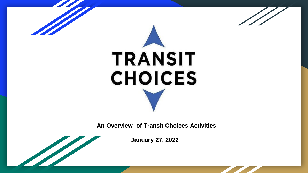

# **TRANSIT CHOICES**

 **An Overview of Transit Choices Activities** 

**January 27, 2022**

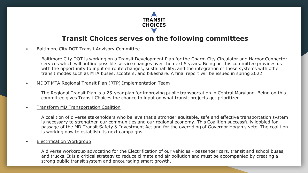

#### **Transit Choices serves on the following committees**

#### • Baltimore City DOT Transit Advisory Committee

Baltimore City DOT is working on a Transit Development Plan for the Charm City Circulator and Harbor Connector services which will outline possible service changes over the next 5 years. Being on this committee provides us with the opportunity to input on route changes, sustainability, and the integration of these systems with other transit modes such as MTA buses, scooters, and bikeshare. A final report will be issued in spring 2022.

#### • MDOT MTA Regional Transit Plan (RTP) Implementation Team

The Regional Transit Plan is a 25-year plan for improving public transportation in Central Maryland. Being on this committee gives Transit Choices the chance to input on what transit projects get prioritized.

#### • Transform MD Transportation Coalition

A coalition of diverse stakeholders who believe that a stronger equitable, safe and effective transportation system is necessary to strengthen our communities and our regional economy. This Coalition successfully lobbied for passage of the MD Transit Safety & Investment Act and for the overriding of Governor Hogan's veto. The coalition is working now to establish its next campaigns.

#### **Electrification Workgroup**

A diverse workgroup advocating for the Electrification of our vehicles - passenger cars, transit and school buses, and trucks. It is a critical strategy to reduce climate and air pollution and must be accompanied by creating a strong public transit system and encouraging smart growth.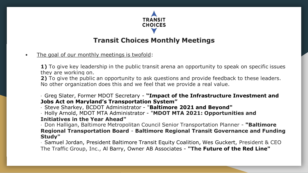

## **Transit Choices Monthly Meetings**

• The goal of our monthly meetings is twofold:

**1)** To give key leadership in the public transit arena an opportunity to speak on specific issues they are working on.

**2)** To give the public an opportunity to ask questions and provide feedback to these leaders. No other organization does this and we feel that we provide a real value.

∙ Greg Slater, Former MDOT Secretary - **"Impact of the Infrastructure Investment and Jobs Act on Maryland's Transportation System"**

∙ Steve Sharkey, BCDOT Administrator - "**Baltimore 2021 and Beyond"**

∙ Holly Arnold, MDOT MTA Administrator - "**MDOT MTA 2021: Opportunities and Initiatives in the Year Ahead"**

∙ Don Halligan, Baltimore Metropolitan Council Senior Transportation Planner - **"Baltimore Regional Transportation Board** - **Baltimore Regional Transit Governance and Funding Study"**

∙ Samuel Jordan, President Baltimore Transit Equity Coalition, Wes Guckert, President & CEO The Traffic Group, Inc., Al Barry, Owner AB Associates - **"The Future of the Red Line"**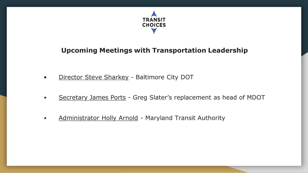

## **Upcoming Meetings with Transportation Leadership**

- **•** Director Steve Sharkey Baltimore City DOT
- Secretary James Ports Greg Slater's replacement as head of MDOT
- Administrator Holly Arnold Maryland Transit Authority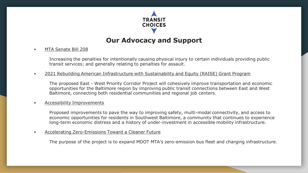

## **Our Advocacy and Support**

• MTA Senate Bill 208

Increasing the penalties for intentionally causing physical injury to certain individuals providing public transit services; and generally relating to penalties for assault.

• 2021 Rebuilding American Infrastructure with Sustainability and Equity (RAISE) Grant Program

The proposed East - West Priority Corridor Project will cohesively improve transportation and economic opportunities for the Baltimore region by improving public transit connections between East and West Baltimore, connecting both residential communities and regional job centers.

• Accessibility Improvements

Proposed improvements to pave the way to improving safety, multi-modal connectivity, and access to economic opportunities for residents in Southwest Baltimore, a community that continues to experience long-term economic distress and a history of under-investment in accessible mobility infrastructure.

• Accelerating Zero-Emissions Toward a Cleaner Future

The purpose of the project is to expand MDOT MTA's zero-emission bus fleet and charging infrastructure.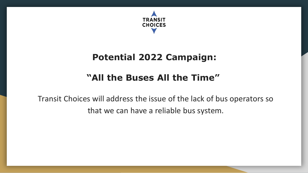

## **Potential 2022 Campaign:**

# **"All the Buses All the Time"**

Transit Choices will address the issue of the lack of bus operators so that we can have a reliable bus system.